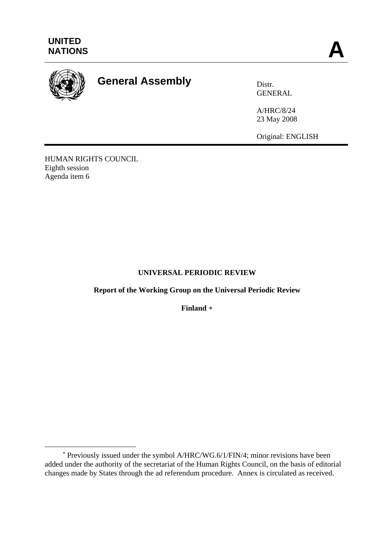

 $\overline{a}$ 

# **General Assembly** Distr.

GENERAL

A/HRC/8/24 23 May 2008

Original: ENGLISH

HUMAN RIGHTS COUNCIL Eighth session Agenda item 6

## **UNIVERSAL PERIODIC REVIEW**

## **Report of the Working Group on the Universal Periodic Review**

**Finland** [∗](#page-0-0)

<span id="page-0-0"></span><sup>∗</sup> Previously issued under the symbol A/HRC/WG.6/1/FIN/4; minor revisions have been added under the authority of the secretariat of the Human Rights Council, on the basis of editorial changes made by States through the ad referendum procedure. Annex is circulated as received.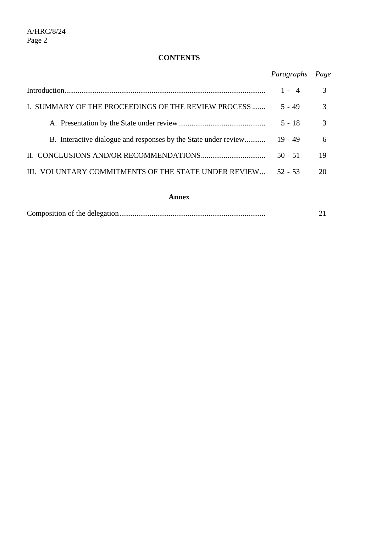## **CONTENTS**

|                                                                 | Paragraphs | Page |
|-----------------------------------------------------------------|------------|------|
|                                                                 | $1 - 4$    | 3    |
| I. SUMMARY OF THE PROCEEDINGS OF THE REVIEW PROCESS             | $5 - 49$   | 3    |
|                                                                 | $5 - 18$   | 3    |
| B. Interactive dialogue and responses by the State under review | $19 - 49$  | 6    |
|                                                                 | $50 - 51$  | 19   |
| III. VOLUNTARY COMMITMENTS OF THE STATE UNDER REVIEW            | $52 - 53$  | 20   |
|                                                                 |            |      |

## **Annex**

|--|--|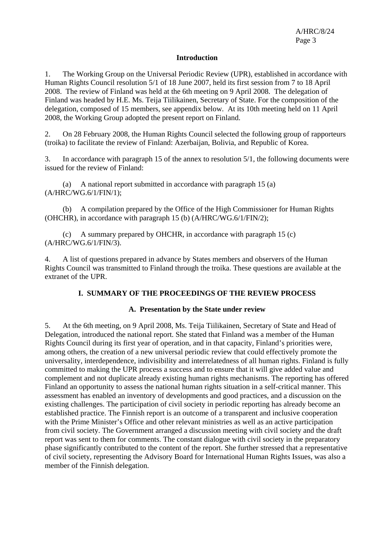### **Introduction**

1. The Working Group on the Universal Periodic Review (UPR), established in accordance with Human Rights Council resolution 5/1 of 18 June 2007, held its first session from 7 to 18 April 2008. The review of Finland was held at the 6th meeting on 9 April 2008. The delegation of Finland was headed by H.E. Ms. Teija Tiilikainen, Secretary of State. For the composition of the delegation, composed of 15 members, see appendix below. At its 10th meeting held on 11 April 2008, the Working Group adopted the present report on Finland.

2. On 28 February 2008, the Human Rights Council selected the following group of rapporteurs (troika) to facilitate the review of Finland: Azerbaijan, Bolivia, and Republic of Korea.

3. In accordance with paragraph 15 of the annex to resolution 5/1, the following documents were issued for the review of Finland:

 (a) A national report submitted in accordance with paragraph 15 (a) (A/HRC/WG.6/1/FIN/1);

 (b) A compilation prepared by the Office of the High Commissioner for Human Rights (OHCHR), in accordance with paragraph 15 (b) (A/HRC/WG.6/1/FIN/2);

(c) A summary prepared by OHCHR, in accordance with paragraph  $15$  (c) (A/HRC/WG.6/1/FIN/3).

4. A list of questions prepared in advance by States members and observers of the Human Rights Council was transmitted to Finland through the troika. These questions are available at the extranet of the UPR.

#### **I. SUMMARY OF THE PROCEEDINGS OF THE REVIEW PROCESS**

#### **A. Presentation by the State under review**

5. At the 6th meeting, on 9 April 2008, Ms. Teija Tiilikainen, Secretary of State and Head of Delegation, introduced the national report. She stated that Finland was a member of the Human Rights Council during its first year of operation, and in that capacity, Finland's priorities were, among others, the creation of a new universal periodic review that could effectively promote the universality, interdependence, indivisibility and interrelatedness of all human rights. Finland is fully committed to making the UPR process a success and to ensure that it will give added value and complement and not duplicate already existing human rights mechanisms. The reporting has offered Finland an opportunity to assess the national human rights situation in a self-critical manner. This assessment has enabled an inventory of developments and good practices, and a discussion on the existing challenges. The participation of civil society in periodic reporting has already become an established practice. The Finnish report is an outcome of a transparent and inclusive cooperation with the Prime Minister's Office and other relevant ministries as well as an active participation from civil society. The Government arranged a discussion meeting with civil society and the draft report was sent to them for comments. The constant dialogue with civil society in the preparatory phase significantly contributed to the content of the report. She further stressed that a representative of civil society, representing the Advisory Board for International Human Rights Issues, was also a member of the Finnish delegation.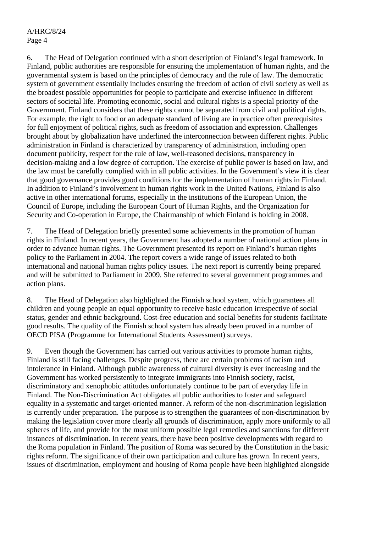A/HRC/8/24 Page 4

6. The Head of Delegation continued with a short description of Finland's legal framework. In Finland, public authorities are responsible for ensuring the implementation of human rights, and the governmental system is based on the principles of democracy and the rule of law. The democratic system of government essentially includes ensuring the freedom of action of civil society as well as the broadest possible opportunities for people to participate and exercise influence in different sectors of societal life. Promoting economic, social and cultural rights is a special priority of the Government. Finland considers that these rights cannot be separated from civil and political rights. For example, the right to food or an adequate standard of living are in practice often prerequisites for full enjoyment of political rights, such as freedom of association and expression. Challenges brought about by globalization have underlined the interconnection between different rights. Public administration in Finland is characterized by transparency of administration, including open document publicity, respect for the rule of law, well-reasoned decisions, transparency in decision-making and a low degree of corruption. The exercise of public power is based on law, and the law must be carefully complied with in all public activities. In the Government's view it is clear that good governance provides good conditions for the implementation of human rights in Finland. In addition to Finland's involvement in human rights work in the United Nations, Finland is also active in other international forums, especially in the institutions of the European Union, the Council of Europe, including the European Court of Human Rights, and the Organization for Security and Co-operation in Europe, the Chairmanship of which Finland is holding in 2008.

7. The Head of Delegation briefly presented some achievements in the promotion of human rights in Finland. In recent years, the Government has adopted a number of national action plans in order to advance human rights. The Government presented its report on Finland's human rights policy to the Parliament in 2004. The report covers a wide range of issues related to both international and national human rights policy issues. The next report is currently being prepared and will be submitted to Parliament in 2009. She referred to several government programmes and action plans.

8. The Head of Delegation also highlighted the Finnish school system, which guarantees all children and young people an equal opportunity to receive basic education irrespective of social status, gender and ethnic background. Cost-free education and social benefits for students facilitate good results. The quality of the Finnish school system has already been proved in a number of OECD PISA (Programme for International Students Assessment) surveys.

9. Even though the Government has carried out various activities to promote human rights, Finland is still facing challenges. Despite progress, there are certain problems of racism and intolerance in Finland. Although public awareness of cultural diversity is ever increasing and the Government has worked persistently to integrate immigrants into Finnish society, racist, discriminatory and xenophobic attitudes unfortunately continue to be part of everyday life in Finland. The Non-Discrimination Act obligates all public authorities to foster and safeguard equality in a systematic and target-oriented manner. A reform of the non-discrimination legislation is currently under preparation. The purpose is to strengthen the guarantees of non-discrimination by making the legislation cover more clearly all grounds of discrimination, apply more uniformly to all spheres of life, and provide for the most uniform possible legal remedies and sanctions for different instances of discrimination. In recent years, there have been positive developments with regard to the Roma population in Finland. The position of Roma was secured by the Constitution in the basic rights reform. The significance of their own participation and culture has grown. In recent years, issues of discrimination, employment and housing of Roma people have been highlighted alongside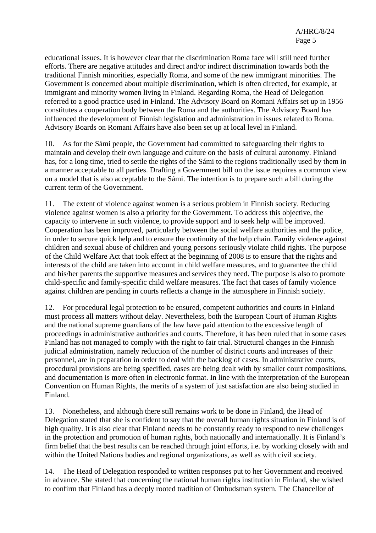educational issues. It is however clear that the discrimination Roma face will still need further efforts. There are negative attitudes and direct and/or indirect discrimination towards both the traditional Finnish minorities, especially Roma, and some of the new immigrant minorities. The Government is concerned about multiple discrimination, which is often directed, for example, at immigrant and minority women living in Finland. Regarding Roma, the Head of Delegation referred to a good practice used in Finland. The Advisory Board on Romani Affairs set up in 1956 constitutes a cooperation body between the Roma and the authorities. The Advisory Board has influenced the development of Finnish legislation and administration in issues related to Roma. Advisory Boards on Romani Affairs have also been set up at local level in Finland.

10. As for the Sámi people, the Government had committed to safeguarding their rights to maintain and develop their own language and culture on the basis of cultural autonomy. Finland has, for a long time, tried to settle the rights of the Sámi to the regions traditionally used by them in a manner acceptable to all parties. Drafting a Government bill on the issue requires a common view on a model that is also acceptable to the Sámi. The intention is to prepare such a bill during the current term of the Government.

11. The extent of violence against women is a serious problem in Finnish society. Reducing violence against women is also a priority for the Government. To address this objective, the capacity to intervene in such violence, to provide support and to seek help will be improved. Cooperation has been improved, particularly between the social welfare authorities and the police, in order to secure quick help and to ensure the continuity of the help chain. Family violence against children and sexual abuse of children and young persons seriously violate child rights. The purpose of the Child Welfare Act that took effect at the beginning of 2008 is to ensure that the rights and interests of the child are taken into account in child welfare measures, and to guarantee the child and his/her parents the supportive measures and services they need. The purpose is also to promote child-specific and family-specific child welfare measures. The fact that cases of family violence against children are pending in courts reflects a change in the atmosphere in Finnish society.

12. For procedural legal protection to be ensured, competent authorities and courts in Finland must process all matters without delay. Nevertheless, both the European Court of Human Rights and the national supreme guardians of the law have paid attention to the excessive length of proceedings in administrative authorities and courts. Therefore, it has been ruled that in some cases Finland has not managed to comply with the right to fair trial. Structural changes in the Finnish judicial administration, namely reduction of the number of district courts and increases of their personnel, are in preparation in order to deal with the backlog of cases. In administrative courts, procedural provisions are being specified, cases are being dealt with by smaller court compositions, and documentation is more often in electronic format. In line with the interpretation of the European Convention on Human Rights, the merits of a system of just satisfaction are also being studied in Finland.

13. Nonetheless, and although there still remains work to be done in Finland, the Head of Delegation stated that she is confident to say that the overall human rights situation in Finland is of high quality. It is also clear that Finland needs to be constantly ready to respond to new challenges in the protection and promotion of human rights, both nationally and internationally. It is Finland's firm belief that the best results can be reached through joint efforts, i.e. by working closely with and within the United Nations bodies and regional organizations, as well as with civil society.

14. The Head of Delegation responded to written responses put to her Government and received in advance. She stated that concerning the national human rights institution in Finland, she wished to confirm that Finland has a deeply rooted tradition of Ombudsman system. The Chancellor of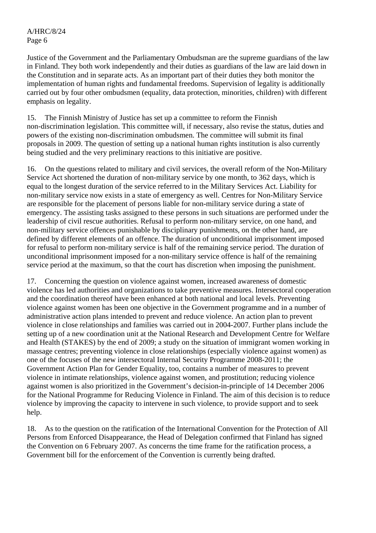Justice of the Government and the Parliamentary Ombudsman are the supreme guardians of the law in Finland. They both work independently and their duties as guardians of the law are laid down in the Constitution and in separate acts. As an important part of their duties they both monitor the implementation of human rights and fundamental freedoms. Supervision of legality is additionally carried out by four other ombudsmen (equality, data protection, minorities, children) with different emphasis on legality.

15. The Finnish Ministry of Justice has set up a committee to reform the Finnish non-discrimination legislation. This committee will, if necessary, also revise the status, duties and powers of the existing non-discrimination ombudsmen. The committee will submit its final proposals in 2009. The question of setting up a national human rights institution is also currently being studied and the very preliminary reactions to this initiative are positive.

16. On the questions related to military and civil services, the overall reform of the Non-Military Service Act shortened the duration of non-military service by one month, to 362 days, which is equal to the longest duration of the service referred to in the Military Services Act. Liability for non-military service now exists in a state of emergency as well. Centres for Non-Military Service are responsible for the placement of persons liable for non-military service during a state of emergency. The assisting tasks assigned to these persons in such situations are performed under the leadership of civil rescue authorities. Refusal to perform non-military service, on one hand, and non-military service offences punishable by disciplinary punishments, on the other hand, are defined by different elements of an offence. The duration of unconditional imprisonment imposed for refusal to perform non-military service is half of the remaining service period. The duration of unconditional imprisonment imposed for a non-military service offence is half of the remaining service period at the maximum, so that the court has discretion when imposing the punishment.

17. Concerning the question on violence against women, increased awareness of domestic violence has led authorities and organizations to take preventive measures. Intersectoral cooperation and the coordination thereof have been enhanced at both national and local levels. Preventing violence against women has been one objective in the Government programme and in a number of administrative action plans intended to prevent and reduce violence. An action plan to prevent violence in close relationships and families was carried out in 2004-2007. Further plans include the setting up of a new coordination unit at the National Research and Development Centre for Welfare and Health (STAKES) by the end of 2009; a study on the situation of immigrant women working in massage centres; preventing violence in close relationships (especially violence against women) as one of the focuses of the new intersectoral Internal Security Programme 2008-2011; the Government Action Plan for Gender Equality, too, contains a number of measures to prevent violence in intimate relationships, violence against women, and prostitution; reducing violence against women is also prioritized in the Government's decision-in-principle of 14 December 2006 for the National Programme for Reducing Violence in Finland. The aim of this decision is to reduce violence by improving the capacity to intervene in such violence, to provide support and to seek help.

18. As to the question on the ratification of the International Convention for the Protection of All Persons from Enforced Disappearance, the Head of Delegation confirmed that Finland has signed the Convention on 6 February 2007. As concerns the time frame for the ratification process, a Government bill for the enforcement of the Convention is currently being drafted.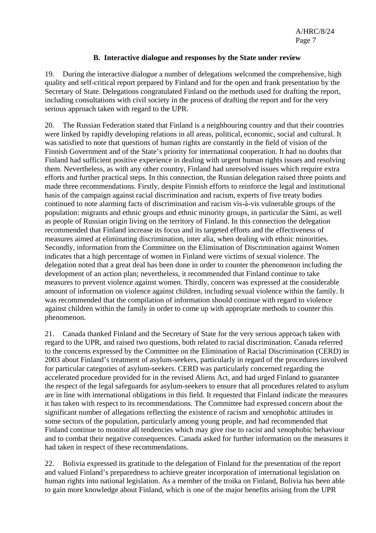## **B. Interactive dialogue and responses by the State under review**

19. During the interactive dialogue a number of delegations welcomed the comprehensive, high quality and self-critical report prepared by Finland and for the open and frank presentation by the Secretary of State. Delegations congratulated Finland on the methods used for drafting the report, including consultations with civil society in the process of drafting the report and for the very serious approach taken with regard to the UPR.

20. The Russian Federation stated that Finland is a neighbouring country and that their countries were linked by rapidly developing relations in all areas, political, economic, social and cultural. It was satisfied to note that questions of human rights are constantly in the field of vision of the Finnish Government and of the State's priority for international cooperation. It had no doubts that Finland had sufficient positive experience in dealing with urgent human rights issues and resolving them. Nevertheless, as with any other country, Finland had unresolved issues which require extra efforts and further practical steps. In this connection, the Russian delegation raised three points and made three recommendations. Firstly, despite Finnish efforts to reinforce the legal and institutional basis of the campaign against racial discrimination and racism, experts of five treaty bodies continued to note alarming facts of discrimination and racism vis-à-vis vulnerable groups of the population: migrants and ethnic groups and ethnic minority groups, in particular the Sámi, as well as people of Russian origin living on the territory of Finland. In this connection the delegation recommended that Finland increase its focus and its targeted efforts and the effectiveness of measures aimed at eliminating discrimination, inter alia, when dealing with ethnic minorities. Secondly, information from the Committee on the Elimination of Discrimination against Women indicates that a high percentage of women in Finland were victims of sexual violence. The delegation noted that a great deal has been done in order to counter the phenomenon including the development of an action plan; nevertheless, it recommended that Finland continue to take measures to prevent violence against women. Thirdly, concern was expressed at the considerable amount of information on violence against children, including sexual violence within the family. It was recommended that the compilation of information should continue with regard to violence against children within the family in order to come up with appropriate methods to counter this phenomenon.

21. Canada thanked Finland and the Secretary of State for the very serious approach taken with regard to the UPR, and raised two questions, both related to racial discrimination. Canada referred to the concerns expressed by the Committee on the Elimination of Racial Discrimination (CERD) in 2003 about Finland's treatment of asylum-seekers, particularly in regard of the procedures involved for particular categories of asylum-seekers. CERD was particularly concerned regarding the accelerated procedure provided for in the revised Aliens Act, and had urged Finland to guarantee the respect of the legal safeguards for asylum-seekers to ensure that all procedures related to asylum are in line with international obligations in this field. It requested that Finland indicate the measures it has taken with respect to its recommendations. The Committee had expressed concern about the significant number of allegations reflecting the existence of racism and xenophobic attitudes in some sectors of the population, particularly among young people, and had recommended that Finland continue to monitor all tendencies which may give rise to racist and xenophobic behaviour and to combat their negative consequences. Canada asked for further information on the measures it had taken in respect of these recommendations.

22. Bolivia expressed its gratitude to the delegation of Finland for the presentation of the report and valued Finland's preparedness to achieve greater incorporation of international legislation on human rights into national legislation. As a member of the troika on Finland, Bolivia has been able to gain more knowledge about Finland, which is one of the major benefits arising from the UPR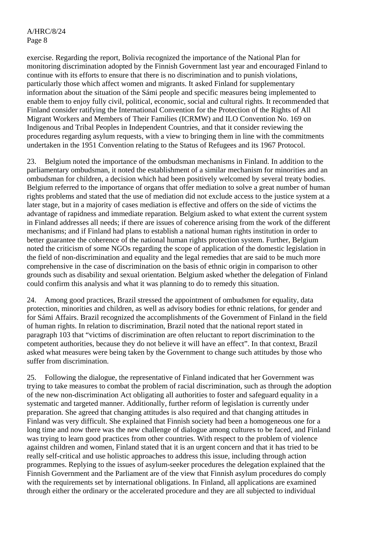exercise. Regarding the report, Bolivia recognized the importance of the National Plan for monitoring discrimination adopted by the Finnish Government last year and encouraged Finland to continue with its efforts to ensure that there is no discrimination and to punish violations, particularly those which affect women and migrants. It asked Finland for supplementary information about the situation of the Sámi people and specific measures being implemented to enable them to enjoy fully civil, political, economic, social and cultural rights. It recommended that Finland consider ratifying the International Convention for the Protection of the Rights of All Migrant Workers and Members of Their Families (ICRMW) and ILO Convention No. 169 on Indigenous and Tribal Peoples in Independent Countries, and that it consider reviewing the procedures regarding asylum requests, with a view to bringing them in line with the commitments undertaken in the 1951 Convention relating to the Status of Refugees and its 1967 Protocol.

23. Belgium noted the importance of the ombudsman mechanisms in Finland. In addition to the parliamentary ombudsman, it noted the establishment of a similar mechanism for minorities and an ombudsman for children, a decision which had been positively welcomed by several treaty bodies. Belgium referred to the importance of organs that offer mediation to solve a great number of human rights problems and stated that the use of mediation did not exclude access to the justice system at a later stage, but in a majority of cases mediation is effective and offers on the side of victims the advantage of rapidness and immediate reparation. Belgium asked to what extent the current system in Finland addresses all needs; if there are issues of coherence arising from the work of the different mechanisms; and if Finland had plans to establish a national human rights institution in order to better guarantee the coherence of the national human rights protection system. Further, Belgium noted the criticism of some NGOs regarding the scope of application of the domestic legislation in the field of non-discrimination and equality and the legal remedies that are said to be much more comprehensive in the case of discrimination on the basis of ethnic origin in comparison to other grounds such as disability and sexual orientation. Belgium asked whether the delegation of Finland could confirm this analysis and what it was planning to do to remedy this situation.

24. Among good practices, Brazil stressed the appointment of ombudsmen for equality, data protection, minorities and children, as well as advisory bodies for ethnic relations, for gender and for Sámi Affairs. Brazil recognized the accomplishments of the Government of Finland in the field of human rights. In relation to discrimination, Brazil noted that the national report stated in paragraph 103 that "victims of discrimination are often reluctant to report discrimination to the competent authorities, because they do not believe it will have an effect". In that context, Brazil asked what measures were being taken by the Government to change such attitudes by those who suffer from discrimination.

25. Following the dialogue, the representative of Finland indicated that her Government was trying to take measures to combat the problem of racial discrimination, such as through the adoption of the new non-discrimination Act obligating all authorities to foster and safeguard equality in a systematic and targeted manner. Additionally, further reform of legislation is currently under preparation. She agreed that changing attitudes is also required and that changing attitudes in Finland was very difficult. She explained that Finnish society had been a homogeneous one for a long time and now there was the new challenge of dialogue among cultures to be faced, and Finland was trying to learn good practices from other countries. With respect to the problem of violence against children and women, Finland stated that it is an urgent concern and that it has tried to be really self-critical and use holistic approaches to address this issue, including through action programmes. Replying to the issues of asylum-seeker procedures the delegation explained that the Finnish Government and the Parliament are of the view that Finnish asylum procedures do comply with the requirements set by international obligations. In Finland, all applications are examined through either the ordinary or the accelerated procedure and they are all subjected to individual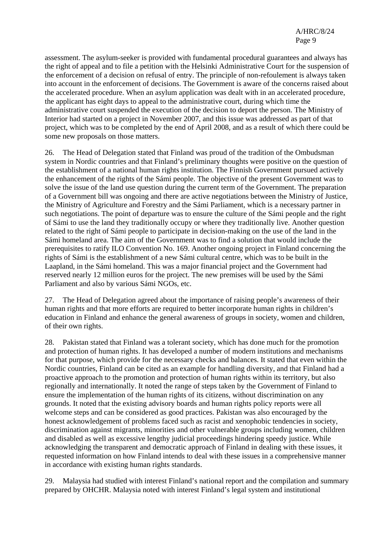assessment. The asylum-seeker is provided with fundamental procedural guarantees and always has the right of appeal and to file a petition with the Helsinki Administrative Court for the suspension of the enforcement of a decision on refusal of entry. The principle of non-refoulement is always taken into account in the enforcement of decisions. The Government is aware of the concerns raised about the accelerated procedure. When an asylum application was dealt with in an accelerated procedure, the applicant has eight days to appeal to the administrative court, during which time the administrative court suspended the execution of the decision to deport the person. The Ministry of Interior had started on a project in November 2007, and this issue was addressed as part of that project, which was to be completed by the end of April 2008, and as a result of which there could be some new proposals on those matters.

26. The Head of Delegation stated that Finland was proud of the tradition of the Ombudsman system in Nordic countries and that Finland's preliminary thoughts were positive on the question of the establishment of a national human rights institution. The Finnish Government pursued actively the enhancement of the rights of the Sámi people. The objective of the present Government was to solve the issue of the land use question during the current term of the Government. The preparation of a Government bill was ongoing and there are active negotiations between the Ministry of Justice, the Ministry of Agriculture and Forestry and the Sámi Parliament, which is a necessary partner in such negotiations. The point of departure was to ensure the culture of the Sámi people and the right of Sámi to use the land they traditionally occupy or where they traditionally live. Another question related to the right of Sámi people to participate in decision-making on the use of the land in the Sámi homeland area. The aim of the Government was to find a solution that would include the prerequisites to ratify ILO Convention No. 169. Another ongoing project in Finland concerning the rights of Sámi is the establishment of a new Sámi cultural centre, which was to be built in the Laapland, in the Sámi homeland. This was a major financial project and the Government had reserved nearly 12 million euros for the project. The new premises will be used by the Sámi Parliament and also by various Sámi NGOs, etc.

27. The Head of Delegation agreed about the importance of raising people's awareness of their human rights and that more efforts are required to better incorporate human rights in children's education in Finland and enhance the general awareness of groups in society, women and children, of their own rights.

28. Pakistan stated that Finland was a tolerant society, which has done much for the promotion and protection of human rights. It has developed a number of modern institutions and mechanisms for that purpose, which provide for the necessary checks and balances. It stated that even within the Nordic countries, Finland can be cited as an example for handling diversity, and that Finland had a proactive approach to the promotion and protection of human rights within its territory, but also regionally and internationally. It noted the range of steps taken by the Government of Finland to ensure the implementation of the human rights of its citizens, without discrimination on any grounds. It noted that the existing advisory boards and human rights policy reports were all welcome steps and can be considered as good practices. Pakistan was also encouraged by the honest acknowledgement of problems faced such as racist and xenophobic tendencies in society, discrimination against migrants, minorities and other vulnerable groups including women, children and disabled as well as excessive lengthy judicial proceedings hindering speedy justice. While acknowledging the transparent and democratic approach of Finland in dealing with these issues, it requested information on how Finland intends to deal with these issues in a comprehensive manner in accordance with existing human rights standards.

29. Malaysia had studied with interest Finland's national report and the compilation and summary prepared by OHCHR. Malaysia noted with interest Finland's legal system and institutional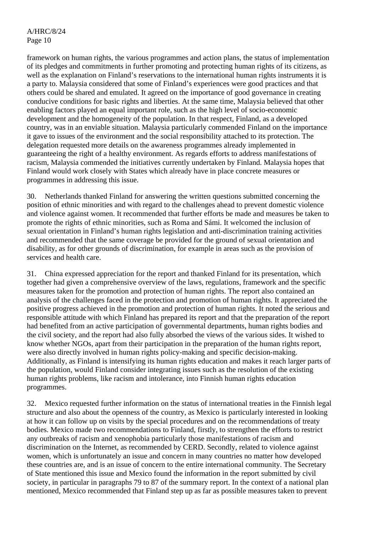framework on human rights, the various programmes and action plans, the status of implementation of its pledges and commitments in further promoting and protecting human rights of its citizens, as well as the explanation on Finland's reservations to the international human rights instruments it is a party to. Malaysia considered that some of Finland's experiences were good practices and that others could be shared and emulated. It agreed on the importance of good governance in creating conducive conditions for basic rights and liberties. At the same time, Malaysia believed that other enabling factors played an equal important role, such as the high level of socio-economic development and the homogeneity of the population. In that respect, Finland, as a developed country, was in an enviable situation. Malaysia particularly commended Finland on the importance it gave to issues of the environment and the social responsibility attached to its protection. The delegation requested more details on the awareness programmes already implemented in guaranteeing the right of a healthy environment. As regards efforts to address manifestations of racism, Malaysia commended the initiatives currently undertaken by Finland. Malaysia hopes that Finland would work closely with States which already have in place concrete measures or programmes in addressing this issue.

30. Netherlands thanked Finland for answering the written questions submitted concerning the position of ethnic minorities and with regard to the challenges ahead to prevent domestic violence and violence against women. It recommended that further efforts be made and measures be taken to promote the rights of ethnic minorities, such as Roma and Sámi. It welcomed the inclusion of sexual orientation in Finland's human rights legislation and anti-discrimination training activities and recommended that the same coverage be provided for the ground of sexual orientation and disability, as for other grounds of discrimination, for example in areas such as the provision of services and health care.

31. China expressed appreciation for the report and thanked Finland for its presentation, which together had given a comprehensive overview of the laws, regulations, framework and the specific measures taken for the promotion and protection of human rights. The report also contained an analysis of the challenges faced in the protection and promotion of human rights. It appreciated the positive progress achieved in the promotion and protection of human rights. It noted the serious and responsible attitude with which Finland has prepared its report and that the preparation of the report had benefited from an active participation of governmental departments, human rights bodies and the civil society, and the report had also fully absorbed the views of the various sides. It wished to know whether NGOs, apart from their participation in the preparation of the human rights report, were also directly involved in human rights policy-making and specific decision-making. Additionally, as Finland is intensifying its human rights education and makes it reach larger parts of the population, would Finland consider integrating issues such as the resolution of the existing human rights problems, like racism and intolerance, into Finnish human rights education programmes.

32. Mexico requested further information on the status of international treaties in the Finnish legal structure and also about the openness of the country, as Mexico is particularly interested in looking at how it can follow up on visits by the special procedures and on the recommendations of treaty bodies. Mexico made two recommendations to Finland, firstly, to strengthen the efforts to restrict any outbreaks of racism and xenophobia particularly those manifestations of racism and discrimination on the Internet, as recommended by CERD. Secondly, related to violence against women, which is unfortunately an issue and concern in many countries no matter how developed these countries are, and is an issue of concern to the entire international community. The Secretary of State mentioned this issue and Mexico found the information in the report submitted by civil society, in particular in paragraphs 79 to 87 of the summary report. In the context of a national plan mentioned, Mexico recommended that Finland step up as far as possible measures taken to prevent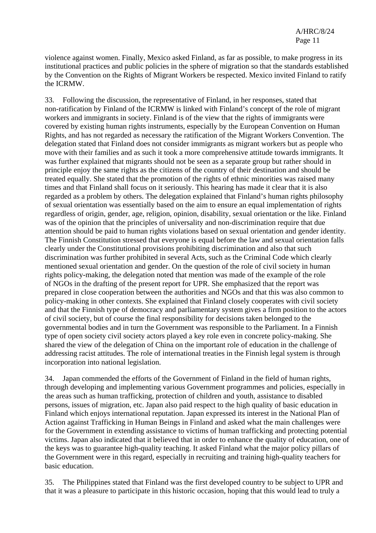violence against women. Finally, Mexico asked Finland, as far as possible, to make progress in its institutional practices and public policies in the sphere of migration so that the standards established by the Convention on the Rights of Migrant Workers be respected. Mexico invited Finland to ratify the ICRMW.

33. Following the discussion, the representative of Finland, in her responses, stated that non-ratification by Finland of the ICRMW is linked with Finland's concept of the role of migrant workers and immigrants in society. Finland is of the view that the rights of immigrants were covered by existing human rights instruments, especially by the European Convention on Human Rights, and has not regarded as necessary the ratification of the Migrant Workers Convention. The delegation stated that Finland does not consider immigrants as migrant workers but as people who move with their families and as such it took a more comprehensive attitude towards immigrants. It was further explained that migrants should not be seen as a separate group but rather should in principle enjoy the same rights as the citizens of the country of their destination and should be treated equally. She stated that the promotion of the rights of ethnic minorities was raised many times and that Finland shall focus on it seriously. This hearing has made it clear that it is also regarded as a problem by others. The delegation explained that Finland's human rights philosophy of sexual orientation was essentially based on the aim to ensure an equal implementation of rights regardless of origin, gender, age, religion, opinion, disability, sexual orientation or the like. Finland was of the opinion that the principles of universality and non-discrimination require that due attention should be paid to human rights violations based on sexual orientation and gender identity. The Finnish Constitution stressed that everyone is equal before the law and sexual orientation falls clearly under the Constitutional provisions prohibiting discrimination and also that such discrimination was further prohibited in several Acts, such as the Criminal Code which clearly mentioned sexual orientation and gender. On the question of the role of civil society in human rights policy-making, the delegation noted that mention was made of the example of the role of NGOs in the drafting of the present report for UPR. She emphasized that the report was prepared in close cooperation between the authorities and NGOs and that this was also common to policy-making in other contexts. She explained that Finland closely cooperates with civil society and that the Finnish type of democracy and parliamentary system gives a firm position to the actors of civil society, but of course the final responsibility for decisions taken belonged to the governmental bodies and in turn the Government was responsible to the Parliament. In a Finnish type of open society civil society actors played a key role even in concrete policy-making. She shared the view of the delegation of China on the important role of education in the challenge of addressing racist attitudes. The role of international treaties in the Finnish legal system is through incorporation into national legislation.

34. Japan commended the efforts of the Government of Finland in the field of human rights, through developing and implementing various Government programmes and policies, especially in the areas such as human trafficking, protection of children and youth, assistance to disabled persons, issues of migration, etc. Japan also paid respect to the high quality of basic education in Finland which enjoys international reputation. Japan expressed its interest in the National Plan of Action against Trafficking in Human Beings in Finland and asked what the main challenges were for the Government in extending assistance to victims of human trafficking and protecting potential victims. Japan also indicated that it believed that in order to enhance the quality of education, one of the keys was to guarantee high-quality teaching. It asked Finland what the major policy pillars of the Government were in this regard, especially in recruiting and training high-quality teachers for basic education.

35. The Philippines stated that Finland was the first developed country to be subject to UPR and that it was a pleasure to participate in this historic occasion, hoping that this would lead to truly a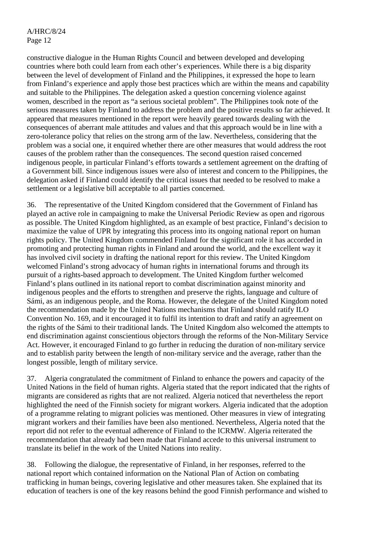constructive dialogue in the Human Rights Council and between developed and developing countries where both could learn from each other's experiences. While there is a big disparity between the level of development of Finland and the Philippines, it expressed the hope to learn from Finland's experience and apply those best practices which are within the means and capability and suitable to the Philippines. The delegation asked a question concerning violence against women, described in the report as "a serious societal problem". The Philippines took note of the serious measures taken by Finland to address the problem and the positive results so far achieved. It appeared that measures mentioned in the report were heavily geared towards dealing with the consequences of aberrant male attitudes and values and that this approach would be in line with a zero-tolerance policy that relies on the strong arm of the law. Nevertheless, considering that the problem was a social one, it enquired whether there are other measures that would address the root causes of the problem rather than the consequences. The second question raised concerned indigenous people, in particular Finland's efforts towards a settlement agreement on the drafting of a Government bill. Since indigenous issues were also of interest and concern to the Philippines, the delegation asked if Finland could identify the critical issues that needed to be resolved to make a settlement or a legislative bill acceptable to all parties concerned.

36. The representative of the United Kingdom considered that the Government of Finland has played an active role in campaigning to make the Universal Periodic Review as open and rigorous as possible. The United Kingdom highlighted, as an example of best practice, Finland's decision to maximize the value of UPR by integrating this process into its ongoing national report on human rights policy. The United Kingdom commended Finland for the significant role it has accorded in promoting and protecting human rights in Finland and around the world, and the excellent way it has involved civil society in drafting the national report for this review. The United Kingdom welcomed Finland's strong advocacy of human rights in international forums and through its pursuit of a rights-based approach to development. The United Kingdom further welcomed Finland's plans outlined in its national report to combat discrimination against minority and indigenous peoples and the efforts to strengthen and preserve the rights, language and culture of Sámi, as an indigenous people, and the Roma. However, the delegate of the United Kingdom noted the recommendation made by the United Nations mechanisms that Finland should ratify ILO Convention No. 169, and it encouraged it to fulfil its intention to draft and ratify an agreement on the rights of the Sámi to their traditional lands. The United Kingdom also welcomed the attempts to end discrimination against conscientious objectors through the reforms of the Non-Military Service Act. However, it encouraged Finland to go further in reducing the duration of non-military service and to establish parity between the length of non-military service and the average, rather than the longest possible, length of military service.

37. Algeria congratulated the commitment of Finland to enhance the powers and capacity of the United Nations in the field of human rights. Algeria stated that the report indicated that the rights of migrants are considered as rights that are not realized. Algeria noticed that nevertheless the report highlighted the need of the Finnish society for migrant workers. Algeria indicated that the adoption of a programme relating to migrant policies was mentioned. Other measures in view of integrating migrant workers and their families have been also mentioned. Nevertheless, Algeria noted that the report did not refer to the eventual adherence of Finland to the ICRMW. Algeria reiterated the recommendation that already had been made that Finland accede to this universal instrument to translate its belief in the work of the United Nations into reality.

38. Following the dialogue, the representative of Finland, in her responses, referred to the national report which contained information on the National Plan of Action on combating trafficking in human beings, covering legislative and other measures taken. She explained that its education of teachers is one of the key reasons behind the good Finnish performance and wished to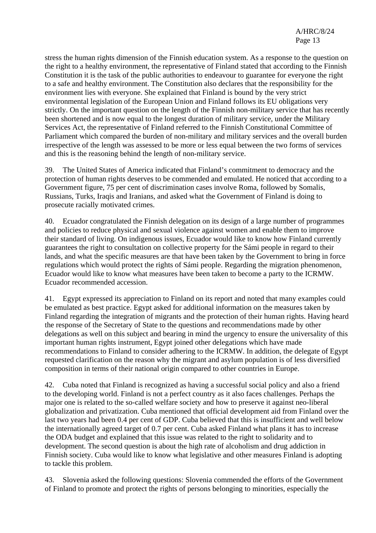stress the human rights dimension of the Finnish education system. As a response to the question on the right to a healthy environment, the representative of Finland stated that according to the Finnish Constitution it is the task of the public authorities to endeavour to guarantee for everyone the right to a safe and healthy environment. The Constitution also declares that the responsibility for the environment lies with everyone. She explained that Finland is bound by the very strict environmental legislation of the European Union and Finland follows its EU obligations very strictly. On the important question on the length of the Finnish non-military service that has recently been shortened and is now equal to the longest duration of military service, under the Military Services Act, the representative of Finland referred to the Finnish Constitutional Committee of Parliament which compared the burden of non-military and military services and the overall burden irrespective of the length was assessed to be more or less equal between the two forms of services and this is the reasoning behind the length of non-military service.

39. The United States of America indicated that Finland's commitment to democracy and the protection of human rights deserves to be commended and emulated. He noticed that according to a Government figure, 75 per cent of discrimination cases involve Roma, followed by Somalis, Russians, Turks, Iraqis and Iranians, and asked what the Government of Finland is doing to prosecute racially motivated crimes.

40. Ecuador congratulated the Finnish delegation on its design of a large number of programmes and policies to reduce physical and sexual violence against women and enable them to improve their standard of living. On indigenous issues, Ecuador would like to know how Finland currently guarantees the right to consultation on collective property for the Sámi people in regard to their lands, and what the specific measures are that have been taken by the Government to bring in force regulations which would protect the rights of Sámi people. Regarding the migration phenomenon, Ecuador would like to know what measures have been taken to become a party to the ICRMW. Ecuador recommended accession.

41. Egypt expressed its appreciation to Finland on its report and noted that many examples could be emulated as best practice. Egypt asked for additional information on the measures taken by Finland regarding the integration of migrants and the protection of their human rights. Having heard the response of the Secretary of State to the questions and recommendations made by other delegations as well on this subject and bearing in mind the urgency to ensure the universality of this important human rights instrument, Egypt joined other delegations which have made recommendations to Finland to consider adhering to the ICRMW. In addition, the delegate of Egypt requested clarification on the reason why the migrant and asylum population is of less diversified composition in terms of their national origin compared to other countries in Europe.

42. Cuba noted that Finland is recognized as having a successful social policy and also a friend to the developing world. Finland is not a perfect country as it also faces challenges. Perhaps the major one is related to the so-called welfare society and how to preserve it against neo-liberal globalization and privatization. Cuba mentioned that official development aid from Finland over the last two years had been 0.4 per cent of GDP. Cuba believed that this is insufficient and well below the internationally agreed target of 0.7 per cent. Cuba asked Finland what plans it has to increase the ODA budget and explained that this issue was related to the right to solidarity and to development. The second question is about the high rate of alcoholism and drug addiction in Finnish society. Cuba would like to know what legislative and other measures Finland is adopting to tackle this problem.

43. Slovenia asked the following questions: Slovenia commended the efforts of the Government of Finland to promote and protect the rights of persons belonging to minorities, especially the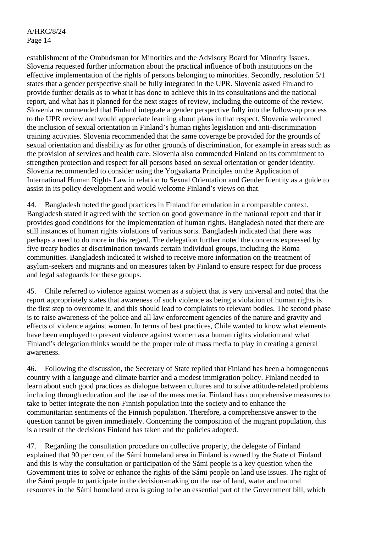establishment of the Ombudsman for Minorities and the Advisory Board for Minority Issues. Slovenia requested further information about the practical influence of both institutions on the effective implementation of the rights of persons belonging to minorities. Secondly, resolution 5/1 states that a gender perspective shall be fully integrated in the UPR. Slovenia asked Finland to provide further details as to what it has done to achieve this in its consultations and the national report, and what has it planned for the next stages of review, including the outcome of the review. Slovenia recommended that Finland integrate a gender perspective fully into the follow-up process to the UPR review and would appreciate learning about plans in that respect. Slovenia welcomed the inclusion of sexual orientation in Finland's human rights legislation and anti-discrimination training activities. Slovenia recommended that the same coverage be provided for the grounds of sexual orientation and disability as for other grounds of discrimination, for example in areas such as the provision of services and health care. Slovenia also commended Finland on its commitment to strengthen protection and respect for all persons based on sexual orientation or gender identity. Slovenia recommended to consider using the Yogyakarta Principles on the Application of International Human Rights Law in relation to Sexual Orientation and Gender Identity as a guide to assist in its policy development and would welcome Finland's views on that.

44. Bangladesh noted the good practices in Finland for emulation in a comparable context. Bangladesh stated it agreed with the section on good governance in the national report and that it provides good conditions for the implementation of human rights. Bangladesh noted that there are still instances of human rights violations of various sorts. Bangladesh indicated that there was perhaps a need to do more in this regard. The delegation further noted the concerns expressed by five treaty bodies at discrimination towards certain individual groups, including the Roma communities. Bangladesh indicated it wished to receive more information on the treatment of asylum-seekers and migrants and on measures taken by Finland to ensure respect for due process and legal safeguards for these groups.

45. Chile referred to violence against women as a subject that is very universal and noted that the report appropriately states that awareness of such violence as being a violation of human rights is the first step to overcome it, and this should lead to complaints to relevant bodies. The second phase is to raise awareness of the police and all law enforcement agencies of the nature and gravity and effects of violence against women. In terms of best practices, Chile wanted to know what elements have been employed to present violence against women as a human rights violation and what Finland's delegation thinks would be the proper role of mass media to play in creating a general awareness.

46. Following the discussion, the Secretary of State replied that Finland has been a homogeneous country with a language and climate barrier and a modest immigration policy. Finland needed to learn about such good practices as dialogue between cultures and to solve attitude-related problems including through education and the use of the mass media. Finland has comprehensive measures to take to better integrate the non-Finnish population into the society and to enhance the communitarian sentiments of the Finnish population. Therefore, a comprehensive answer to the question cannot be given immediately. Concerning the composition of the migrant population, this is a result of the decisions Finland has taken and the policies adopted.

47. Regarding the consultation procedure on collective property, the delegate of Finland explained that 90 per cent of the Sámi homeland area in Finland is owned by the State of Finland and this is why the consultation or participation of the Sámi people is a key question when the Government tries to solve or enhance the rights of the Sámi people on land use issues. The right of the Sámi people to participate in the decision-making on the use of land, water and natural resources in the Sámi homeland area is going to be an essential part of the Government bill, which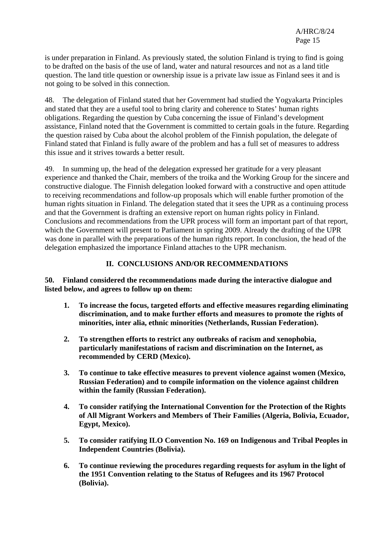is under preparation in Finland. As previously stated, the solution Finland is trying to find is going to be drafted on the basis of the use of land, water and natural resources and not as a land title question. The land title question or ownership issue is a private law issue as Finland sees it and is not going to be solved in this connection.

48. The delegation of Finland stated that her Government had studied the Yogyakarta Principles and stated that they are a useful tool to bring clarity and coherence to States' human rights obligations. Regarding the question by Cuba concerning the issue of Finland's development assistance, Finland noted that the Government is committed to certain goals in the future. Regarding the question raised by Cuba about the alcohol problem of the Finnish population, the delegate of Finland stated that Finland is fully aware of the problem and has a full set of measures to address this issue and it strives towards a better result.

49. In summing up, the head of the delegation expressed her gratitude for a very pleasant experience and thanked the Chair, members of the troika and the Working Group for the sincere and constructive dialogue. The Finnish delegation looked forward with a constructive and open attitude to receiving recommendations and follow-up proposals which will enable further promotion of the human rights situation in Finland. The delegation stated that it sees the UPR as a continuing process and that the Government is drafting an extensive report on human rights policy in Finland. Conclusions and recommendations from the UPR process will form an important part of that report, which the Government will present to Parliament in spring 2009. Already the drafting of the UPR was done in parallel with the preparations of the human rights report. In conclusion, the head of the delegation emphasized the importance Finland attaches to the UPR mechanism.

## **II. CONCLUSIONS AND/OR RECOMMENDATIONS**

**50. Finland considered the recommendations made during the interactive dialogue and listed below, and agrees to follow up on them:** 

- **1. To increase the focus, targeted efforts and effective measures regarding eliminating discrimination, and to make further efforts and measures to promote the rights of minorities, inter alia, ethnic minorities (Netherlands, Russian Federation).**
- **2. To strengthen efforts to restrict any outbreaks of racism and xenophobia, particularly manifestations of racism and discrimination on the Internet, as recommended by CERD (Mexico).**
- **3. To continue to take effective measures to prevent violence against women (Mexico, Russian Federation) and to compile information on the violence against children within the family (Russian Federation).**
- **4. To consider ratifying the International Convention for the Protection of the Rights of All Migrant Workers and Members of Their Families (Algeria, Bolivia, Ecuador, Egypt, Mexico).**
- **5. To consider ratifying ILO Convention No. 169 on Indigenous and Tribal Peoples in Independent Countries (Bolivia).**
- **6. To continue reviewing the procedures regarding requests for asylum in the light of the 1951 Convention relating to the Status of Refugees and its 1967 Protocol (Bolivia).**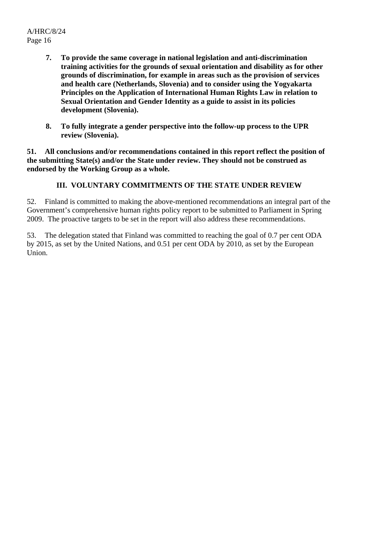A/HRC/8/24 Page 16

- **7. To provide the same coverage in national legislation and anti-discrimination training activities for the grounds of sexual orientation and disability as for other grounds of discrimination, for example in areas such as the provision of services and health care (Netherlands, Slovenia) and to consider using the Yogyakarta Principles on the Application of International Human Rights Law in relation to Sexual Orientation and Gender Identity as a guide to assist in its policies development (Slovenia).**
- **8. To fully integrate a gender perspective into the follow-up process to the UPR review (Slovenia).**

**51. All conclusions and/or recommendations contained in this report reflect the position of the submitting State(s) and/or the State under review. They should not be construed as endorsed by the Working Group as a whole.** 

## **III. VOLUNTARY COMMITMENTS OF THE STATE UNDER REVIEW**

52. Finland is committed to making the above-mentioned recommendations an integral part of the Government's comprehensive human rights policy report to be submitted to Parliament in Spring 2009. The proactive targets to be set in the report will also address these recommendations.

53. The delegation stated that Finland was committed to reaching the goal of 0.7 per cent ODA by 2015, as set by the United Nations, and 0.51 per cent ODA by 2010, as set by the European Union.